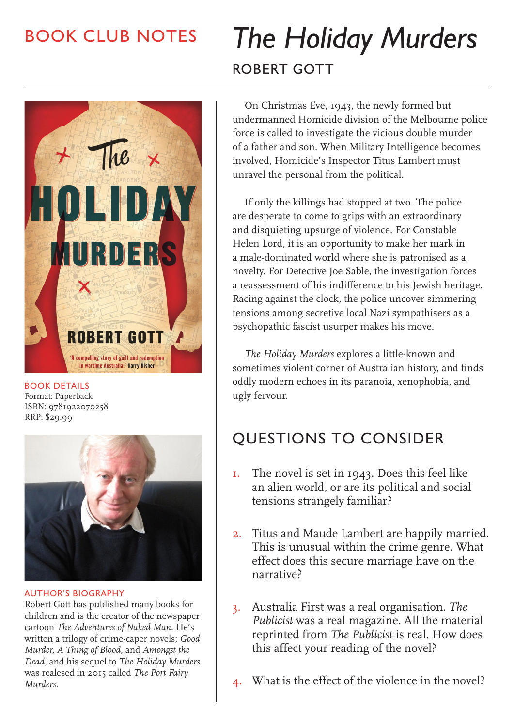## BOOK CLUB NOTES



BOOK DETAILS Format: Paperback ISBN: 9781922070258 RRP: \$29.99



AUTHOR'S BIOGRAPHY

Robert Gott has published many books for children and is the creator of the newspaper cartoon *The Adventures of Naked Man*. He's written a trilogy of crime-caper novels; *Good Murder, A Thing of Blood*, and *Amongst the Dead*, and his sequel to *The Holiday Murders* was realesed in 2015 called *The Port Fairy Murders*.

# *The Holiday Murders* ROBERT GOTT

On Christmas Eve, 1943, the newly formed but undermanned Homicide division of the Melbourne police force is called to investigate the vicious double murder of a father and son. When Military Intelligence becomes involved, Homicide's Inspector Titus Lambert must unravel the personal from the political.

If only the killings had stopped at two. The police are desperate to come to grips with an extraordinary and disquieting upsurge of violence. For Constable Helen Lord, it is an opportunity to make her mark in a male-dominated world where she is patronised as a novelty. For Detective Joe Sable, the investigation forces a reassessment of his indifference to his Jewish heritage. Racing against the clock, the police uncover simmering tensions among secretive local Nazi sympathisers as a psychopathic fascist usurper makes his move.

*The Holiday Murders* explores a little-known and sometimes violent corner of Australian history, and finds oddly modern echoes in its paranoia, xenophobia, and ugly fervour.

### QUESTIONS TO CONSIDER

- 1. The novel is set in 1943. Does this feel like an alien world, or are its political and social tensions strangely familiar?
- 2. Titus and Maude Lambert are happily married. This is unusual within the crime genre. What effect does this secure marriage have on the narrative?
- 3. Australia First was a real organisation. *The Publicist* was a real magazine. All the material reprinted from *The Publicist* is real. How does this affect your reading of the novel?
- 4. What is the effect of the violence in the novel?